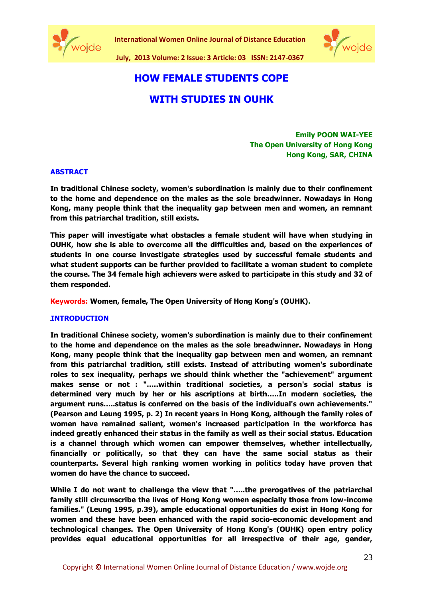





# **HOW FEMALE STUDENTS COPE**

# **WITH STUDIES IN OUHK**

**Emily POON WAI-YEE The Open University of Hong Kong Hong Kong, SAR, CHINA**

# **ABSTRACT**

**In traditional Chinese society, women's subordination is mainly due to their confinement to the home and dependence on the males as the sole breadwinner. Nowadays in Hong Kong, many people think that the inequality gap between men and women, an remnant from this patriarchal tradition, still exists.** 

**This paper will investigate what obstacles a female student will have when studying in OUHK, how she is able to overcome all the difficulties and, based on the experiences of students in one course investigate strategies used by successful female students and what student supports can be further provided to facilitate a woman student to complete the course. The 34 female high achievers were asked to participate in this study and 32 of them responded.**

**Keywords: Women, female, The Open University of Hong Kong's (OUHK).**

## **INTRODUCTION**

**In traditional Chinese society, women's subordination is mainly due to their confinement to the home and dependence on the males as the sole breadwinner. Nowadays in Hong Kong, many people think that the inequality gap between men and women, an remnant from this patriarchal tradition, still exists. Instead of attributing women's subordinate roles to sex inequality, perhaps we should think whether the "achievement" argument makes sense or not : "…..within traditional societies, a person's social status is determined very much by her or his ascriptions at birth…..In modern societies, the argument runs…..status is conferred on the basis of the individual's own achievements." (Pearson and Leung 1995, p. 2) In recent years in Hong Kong, although the family roles of women have remained salient, women's increased participation in the workforce has indeed greatly enhanced their status in the family as well as their social status. Education is a channel through which women can empower themselves, whether intellectually, financially or politically, so that they can have the same social status as their counterparts. Several high ranking women working in politics today have proven that women do have the chance to succeed.**

**While I do not want to challenge the view that "…..the prerogatives of the patriarchal family still circumscribe the lives of Hong Kong women especially those from low-income families." (Leung 1995, p.39), ample educational opportunities do exist in Hong Kong for women and these have been enhanced with the rapid socio-economic development and technological changes. The Open University of Hong Kong's (OUHK) open entry policy provides equal educational opportunities for all irrespective of their age, gender,**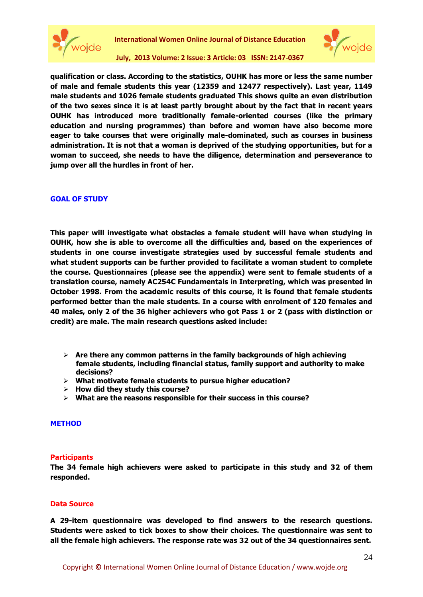



**July, 2013 Volume: 2 Issue: 3 Article: 03 ISSN: 2147-0367**

**qualification or class. According to the statistics, OUHK has more or less the same number of male and female students this year (12359 and 12477 respectively). Last year, 1149 male students and 1026 female students graduated This shows quite an even distribution of the two sexes since it is at least partly brought about by the fact that in recent years OUHK has introduced more traditionally female-oriented courses (like the primary education and nursing programmes) than before and women have also become more eager to take courses that were originally male-dominated, such as courses in business administration. It is not that a woman is deprived of the studying opportunities, but for a woman to succeed, she needs to have the diligence, determination and perseverance to jump over all the hurdles in front of her.**

#### **GOAL OF STUDY**

**This paper will investigate what obstacles a female student will have when studying in OUHK, how she is able to overcome all the difficulties and, based on the experiences of students in one course investigate strategies used by successful female students and what student supports can be further provided to facilitate a woman student to complete the course. Questionnaires (please see the appendix) were sent to female students of a translation course, namely AC254C Fundamentals in Interpreting, which was presented in October 1998. From the academic results of this course, it is found that female students performed better than the male students. In a course with enrolment of 120 females and 40 males, only 2 of the 36 higher achievers who got Pass 1 or 2 (pass with distinction or credit) are male. The main research questions asked include:**

- **Are there any common patterns in the family backgrounds of high achieving female students, including financial status, family support and authority to make decisions?**
- **What motivate female students to pursue higher education?**
- **How did they study this course?**
- **What are the reasons responsible for their success in this course?**

#### **METHOD**

#### **Participants**

**The 34 female high achievers were asked to participate in this study and 32 of them responded.**

#### **Data Source**

**A 29-item questionnaire was developed to find answers to the research questions. Students were asked to tick boxes to show their choices. The questionnaire was sent to all the female high achievers. The response rate was 32 out of the 34 questionnaires sent.**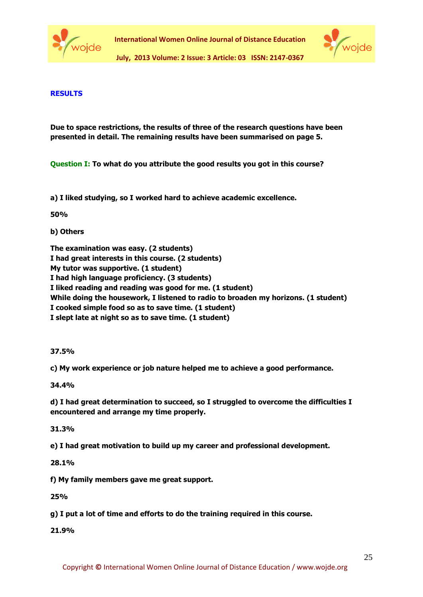



**July, 2013 Volume: 2 Issue: 3 Article: 03 ISSN: 2147-0367**

# **RESULTS**

**Due to space restrictions, the results of three of the research questions have been presented in detail. The remaining results have been summarised on page 5.**

**Question I: To what do you attribute the good results you got in this course?** 

**a) I liked studying, so I worked hard to achieve academic excellence.**

**50%**

**b) Others**

**The examination was easy. (2 students)**

**I had great interests in this course. (2 students)** 

**My tutor was supportive. (1 student)** 

**I had high language proficiency. (3 students)**

**I liked reading and reading was good for me. (1 student)**

**While doing the housework, I listened to radio to broaden my horizons. (1 student)** 

**I cooked simple food so as to save time. (1 student)** 

**I slept late at night so as to save time. (1 student)**

## **37.5%**

**c) My work experience or job nature helped me to achieve a good performance.**

# **34.4%**

**d) I had great determination to succeed, so I struggled to overcome the difficulties I encountered and arrange my time properly.**

## **31.3%**

**e) I had great motivation to build up my career and professional development.**

**28.1%**

**f) My family members gave me great support.**

**25%**

**g) I put a lot of time and efforts to do the training required in this course.**

**21.9%**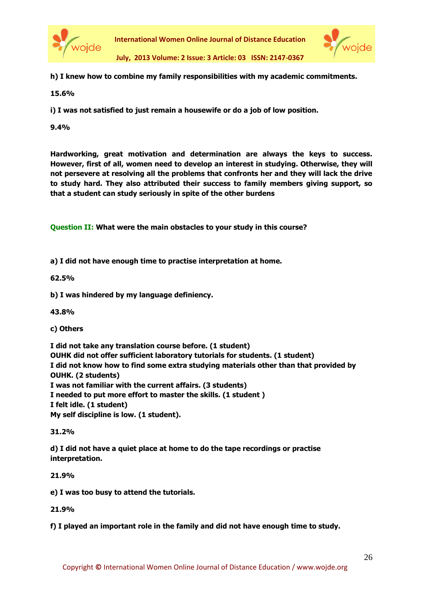



**July, 2013 Volume: 2 Issue: 3 Article: 03 ISSN: 2147-0367**

**h) I knew how to combine my family responsibilities with my academic commitments.**

**15.6%**

**i) I was not satisfied to just remain a housewife or do a job of low position.**

**9.4%**

**Hardworking, great motivation and determination are always the keys to success. However, first of all, women need to develop an interest in studying. Otherwise, they will not persevere at resolving all the problems that confronts her and they will lack the drive to study hard. They also attributed their success to family members giving support, so that a student can study seriously in spite of the other burdens**

**Question II: What were the main obstacles to your study in this course?**

**a) I did not have enough time to practise interpretation at home.**

**62.5%**

**b) I was hindered by my language definiency.**

**43.8%**

**c) Others**

**I did not take any translation course before. (1 student) OUHK did not offer sufficient laboratory tutorials for students. (1 student) I did not know how to find some extra studying materials other than that provided by OUHK. (2 students) I was not familiar with the current affairs. (3 students) I needed to put more effort to master the skills. (1 student ) I felt idle. (1 student) My self discipline is low. (1 student).**

**31.2%**

**d) I did not have a quiet place at home to do the tape recordings or practise interpretation.**

**21.9%**

**e) I was too busy to attend the tutorials.**

**21.9%**

**f) I played an important role in the family and did not have enough time to study.**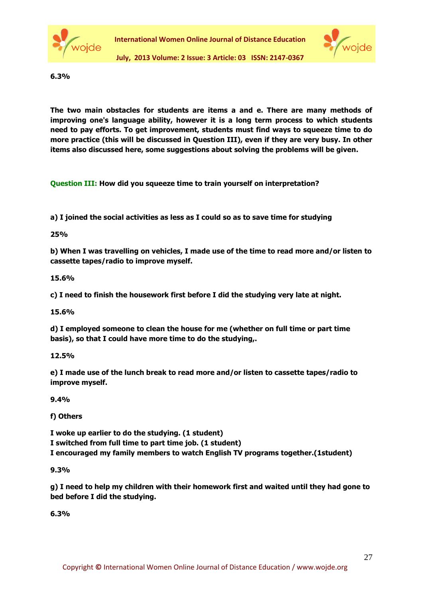



**6.3%**

**The two main obstacles for students are items a and e. There are many methods of improving one's language ability, however it is a long term process to which students need to pay efforts. To get improvement, students must find ways to squeeze time to do more practice (this will be discussed in Question III), even if they are very busy. In other items also discussed here, some suggestions about solving the problems will be given.**

**Question III: How did you squeeze time to train yourself on interpretation?**

**a) I joined the social activities as less as I could so as to save time for studying**

**25%**

**b) When I was travelling on vehicles, I made use of the time to read more and/or listen to cassette tapes/radio to improve myself.**

**15.6%**

**c) I need to finish the housework first before I did the studying very late at night.**

**15.6%**

**d) I employed someone to clean the house for me (whether on full time or part time basis), so that I could have more time to do the studying,.**

**12.5%**

**e) I made use of the lunch break to read more and/or listen to cassette tapes/radio to improve myself.**

**9.4%**

**f) Others**

**I woke up earlier to do the studying. (1 student) I switched from full time to part time job. (1 student)**

**I encouraged my family members to watch English TV programs together.(1student)**

**9.3%**

**g) I need to help my children with their homework first and waited until they had gone to bed before I did the studying.**

**6.3%**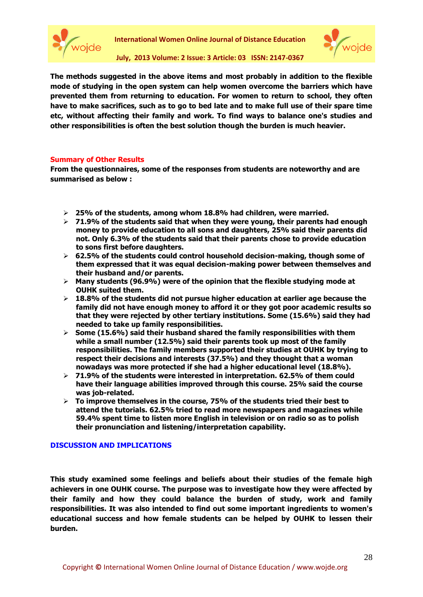



**July, 2013 Volume: 2 Issue: 3 Article: 03 ISSN: 2147-0367**

**The methods suggested in the above items and most probably in addition to the flexible mode of studying in the open system can help women overcome the barriers which have prevented them from returning to education. For women to return to school, they often have to make sacrifices, such as to go to bed late and to make full use of their spare time etc, without affecting their family and work. To find ways to balance one's studies and other responsibilities is often the best solution though the burden is much heavier.**

#### **Summary of Other Results**

**From the questionnaires, some of the responses from students are noteworthy and are summarised as below :**

- **25% of the students, among whom 18.8% had children, were married.**
- **71.9% of the students said that when they were young, their parents had enough money to provide education to all sons and daughters, 25% said their parents did not. Only 6.3% of the students said that their parents chose to provide education to sons first before daughters.**
- **62.5% of the students could control household decision-making, though some of them expressed that it was equal decision-making power between themselves and their husband and/or parents.**
- **Many students (96.9%) were of the opinion that the flexible studying mode at OUHK suited them.**
- **18.8% of the students did not pursue higher education at earlier age because the family did not have enough money to afford it or they got poor academic results so that they were rejected by other tertiary institutions. Some (15.6%) said they had needed to take up family responsibilities.**
- **Some (15.6%) said their husband shared the family responsibilities with them while a small number (12.5%) said their parents took up most of the family responsibilities. The family members supported their studies at OUHK by trying to respect their decisions and interests (37.5%) and they thought that a woman nowadays was more protected if she had a higher educational level (18.8%).**
- **71.9% of the students were interested in interpretation. 62.5% of them could have their language abilities improved through this course. 25% said the course was job-related.**
- **To improve themselves in the course, 75% of the students tried their best to attend the tutorials. 62.5% tried to read more newspapers and magazines while 59.4% spent time to listen more English in television or on radio so as to polish their pronunciation and listening/interpretation capability.**

#### **DISCUSSION AND IMPLICATIONS**

**This study examined some feelings and beliefs about their studies of the female high achievers in one OUHK course. The purpose was to investigate how they were affected by their family and how they could balance the burden of study, work and family responsibilities. It was also intended to find out some important ingredients to women's educational success and how female students can be helped by OUHK to lessen their burden.**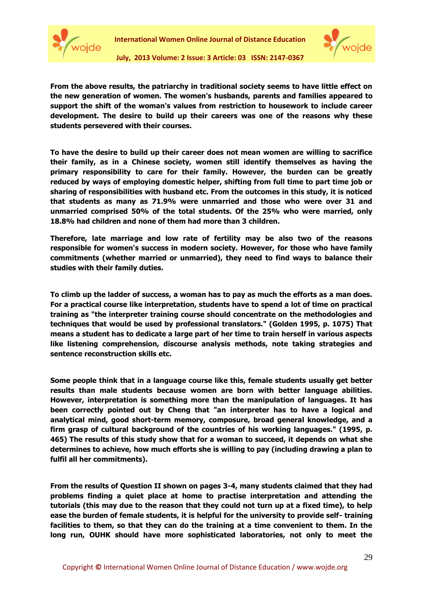



**July, 2013 Volume: 2 Issue: 3 Article: 03 ISSN: 2147-0367**

**From the above results, the patriarchy in traditional society seems to have little effect on the new generation of women. The women's husbands, parents and families appeared to support the shift of the woman's values from restriction to housework to include career development. The desire to build up their careers was one of the reasons why these students persevered with their courses.**

**To have the desire to build up their career does not mean women are willing to sacrifice their family, as in a Chinese society, women still identify themselves as having the primary responsibility to care for their family. However, the burden can be greatly reduced by ways of employing domestic helper, shifting from full time to part time job or sharing of responsibilities with husband etc. From the outcomes in this study, it is noticed that students as many as 71.9% were unmarried and those who were over 31 and unmarried comprised 50% of the total students. Of the 25% who were married, only 18.8% had children and none of them had more than 3 children.** 

**Therefore, late marriage and low rate of fertility may be also two of the reasons responsible for women's success in modern society. However, for those who have family commitments (whether married or unmarried), they need to find ways to balance their studies with their family duties.**

**To climb up the ladder of success, a woman has to pay as much the efforts as a man does. For a practical course like interpretation, students have to spend a lot of time on practical training as "the interpreter training course should concentrate on the methodologies and techniques that would be used by professional translators." (Golden 1995, p. 1075) That means a student has to dedicate a large part of her time to train herself in various aspects like listening comprehension, discourse analysis methods, note taking strategies and sentence reconstruction skills etc.** 

**Some people think that in a language course like this, female students usually get better results than male students because women are born with better language abilities. However, interpretation is something more than the manipulation of languages. It has been correctly pointed out by Cheng that "an interpreter has to have a logical and analytical mind, good short-term memory, composure, broad general knowledge, and a firm grasp of cultural background of the countries of his working languages." (1995, p. 465) The results of this study show that for a woman to succeed, it depends on what she determines to achieve, how much efforts she is willing to pay (including drawing a plan to fulfil all her commitments).**

**From the results of Question II shown on pages 3-4, many students claimed that they had problems finding a quiet place at home to practise interpretation and attending the tutorials (this may due to the reason that they could not turn up at a fixed time), to help ease the burden of female students, it is helpful for the university to provide self- training facilities to them, so that they can do the training at a time convenient to them. In the long run, OUHK should have more sophisticated laboratories, not only to meet the**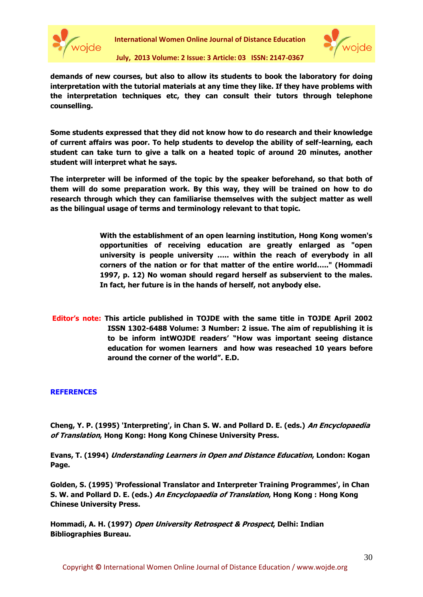



**July, 2013 Volume: 2 Issue: 3 Article: 03 ISSN: 2147-0367**

**demands of new courses, but also to allow its students to book the laboratory for doing interpretation with the tutorial materials at any time they like. If they have problems with the interpretation techniques etc, they can consult their tutors through telephone counselling.**

**Some students expressed that they did not know how to do research and their knowledge of current affairs was poor. To help students to develop the ability of self-learning, each student can take turn to give a talk on a heated topic of around 20 minutes, another student will interpret what he says.** 

**The interpreter will be informed of the topic by the speaker beforehand, so that both of them will do some preparation work. By this way, they will be trained on how to do research through which they can familiarise themselves with the subject matter as well as the bilingual usage of terms and terminology relevant to that topic.** 

> **With the establishment of an open learning institution, Hong Kong women's opportunities of receiving education are greatly enlarged as "open university is people university ….. within the reach of everybody in all corners of the nation or for that matter of the entire world….." (Hommadi 1997, p. 12) No woman should regard herself as subservient to the males. In fact, her future is in the hands of herself, not anybody else.**

**Editor's note: This article published in TOJDE with the same title in TOJDE April 2002 ISSN 1302-6488 Volume: 3 Number: 2 issue. The aim of republishing it is to be inform intWOJDE readers' "How was important seeing distance education for women learners and how was reseached 10 years before around the corner of the world". E.D.** 

# **REFERENCES**

**Cheng, Y. P. (1995) 'Interpreting', in Chan S. W. and Pollard D. E. (eds.) An Encyclopaedia of Translation, Hong Kong: Hong Kong Chinese University Press.**

**Evans, T. (1994) Understanding Learners in Open and Distance Education, London: Kogan Page.**

**Golden, S. (1995) 'Professional Translator and Interpreter Training Programmes', in Chan S. W. and Pollard D. E. (eds.) An Encyclopaedia of Translation, Hong Kong : Hong Kong Chinese University Press.**

**Hommadi, A. H. (1997) Open University Retrospect & Prospect, Delhi: Indian Bibliographies Bureau.**